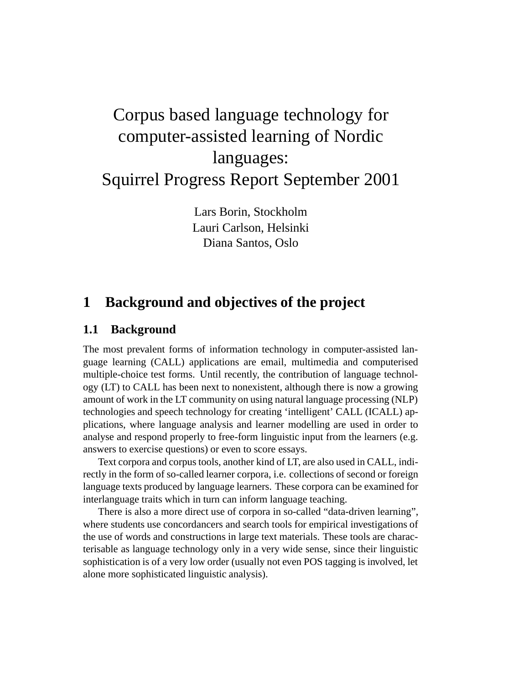# Corpus based language technology for computer-assisted learning of Nordic languages: Squirrel Progress Report September 2001

Lars Borin, Stockholm Lauri Carlson, Helsinki Diana Santos, Oslo

## **1 Background and objectives of the project**

#### **1.1 Background**

The most prevalent forms of information technology in computer-assisted language learning (CALL) applications are email, multimedia and computerised multiple-choice test forms. Until recently, the contribution of language technology (LT) to CALL has been next to nonexistent, although there is now a growing amount of work in the LT community on using natural language processing (NLP) technologies and speech technology for creating 'intelligent' CALL (ICALL) applications, where language analysis and learner modelling are used in order to analyse and respond properly to free-form linguistic input from the learners (e.g. answers to exercise questions) or even to score essays.

Text corpora and corpus tools, another kind of LT, are also used in CALL, indirectly in the form of so-called learner corpora, i.e. collections of second or foreign language texts produced by language learners. These corpora can be examined for interlanguage traits which in turn can inform language teaching.

There is also a more direct use of corpora in so-called "data-driven learning", where students use concordancers and search tools for empirical investigations of the use of words and constructions in large text materials. These tools are characterisable as language technology only in a very wide sense, since their linguistic sophistication is of a very low order (usually not even POS tagging is involved, let alone more sophisticated linguistic analysis).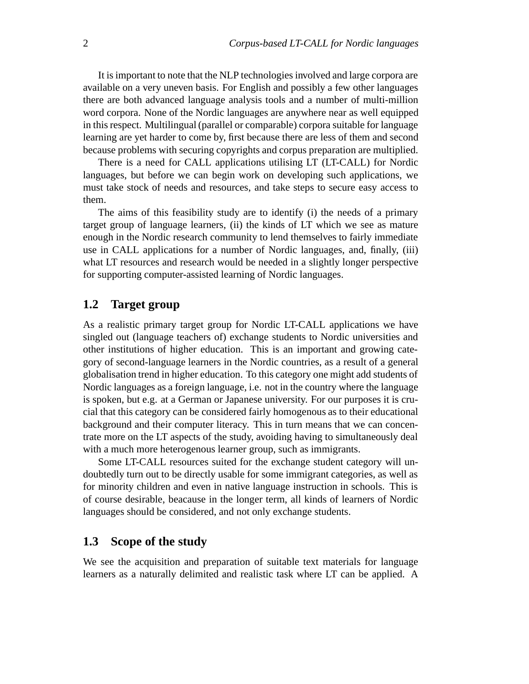It is important to note that the NLP technologies involved and large corpora are available on a very uneven basis. For English and possibly a few other languages there are both advanced language analysis tools and a number of multi-million word corpora. None of the Nordic languages are anywhere near as well equipped in this respect. Multilingual (parallel or comparable) corpora suitable for language learning are yet harder to come by, first because there are less of them and second because problems with securing copyrights and corpus preparation are multiplied.

There is a need for CALL applications utilising LT (LT-CALL) for Nordic languages, but before we can begin work on developing such applications, we must take stock of needs and resources, and take steps to secure easy access to them.

The aims of this feasibility study are to identify (i) the needs of a primary target group of language learners, (ii) the kinds of LT which we see as mature enough in the Nordic research community to lend themselves to fairly immediate use in CALL applications for a number of Nordic languages, and, finally, (iii) what LT resources and research would be needed in a slightly longer perspective for supporting computer-assisted learning of Nordic languages.

### **1.2 Target group**

As a realistic primary target group for Nordic LT-CALL applications we have singled out (language teachers of) exchange students to Nordic universities and other institutions of higher education. This is an important and growing category of second-language learners in the Nordic countries, as a result of a general globalisation trend in higher education. To this category one might add students of Nordic languages as a foreign language, i.e. not in the country where the language is spoken, but e.g. at a German or Japanese university. For our purposes it is crucial that this category can be considered fairly homogenous as to their educational background and their computer literacy. This in turn means that we can concentrate more on the LT aspects of the study, avoiding having to simultaneously deal with a much more heterogenous learner group, such as immigrants.

Some LT-CALL resources suited for the exchange student category will undoubtedly turn out to be directly usable for some immigrant categories, as well as for minority children and even in native language instruction in schools. This is of course desirable, beacause in the longer term, all kinds of learners of Nordic languages should be considered, and not only exchange students.

#### **1.3 Scope of the study**

We see the acquisition and preparation of suitable text materials for language learners as a naturally delimited and realistic task where LT can be applied. A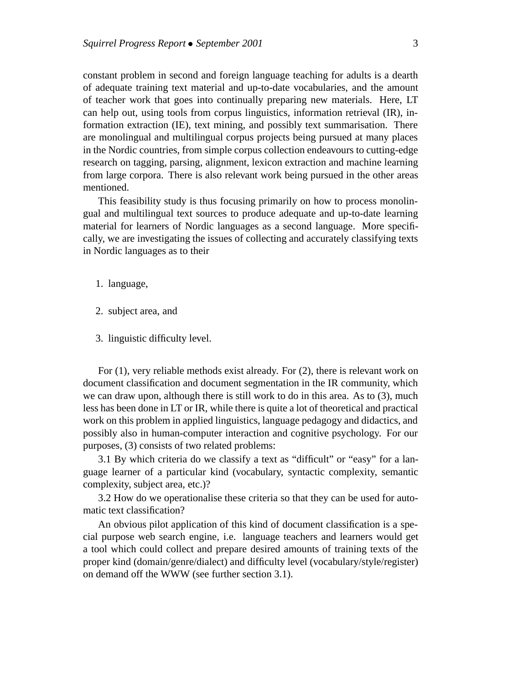constant problem in second and foreign language teaching for adults is a dearth of adequate training text material and up-to-date vocabularies, and the amount of teacher work that goes into continually preparing new materials. Here, LT can help out, using tools from corpus linguistics, information retrieval (IR), information extraction (IE), text mining, and possibly text summarisation. There are monolingual and multilingual corpus projects being pursued at many places in the Nordic countries, from simple corpus collection endeavours to cutting-edge research on tagging, parsing, alignment, lexicon extraction and machine learning from large corpora. There is also relevant work being pursued in the other areas mentioned.

This feasibility study is thus focusing primarily on how to process monolingual and multilingual text sources to produce adequate and up-to-date learning material for learners of Nordic languages as a second language. More specifically, we are investigating the issues of collecting and accurately classifying texts in Nordic languages as to their

- 1. language,
- 2. subject area, and
- 3. linguistic difficulty level.

For (1), very reliable methods exist already. For (2), there is relevant work on document classification and document segmentation in the IR community, which we can draw upon, although there is still work to do in this area. As to (3), much less has been done in LT or IR, while there is quite a lot of theoretical and practical work on this problem in applied linguistics, language pedagogy and didactics, and possibly also in human-computer interaction and cognitive psychology. For our purposes, (3) consists of two related problems:

3.1 By which criteria do we classify a text as "difficult" or "easy" for a language learner of a particular kind (vocabulary, syntactic complexity, semantic complexity, subject area, etc.)?

3.2 How do we operationalise these criteria so that they can be used for automatic text classification?

An obvious pilot application of this kind of document classification is a special purpose web search engine, i.e. language teachers and learners would get a tool which could collect and prepare desired amounts of training texts of the proper kind (domain/genre/dialect) and difficulty level (vocabulary/style/register) on demand off the WWW (see further section 3.1).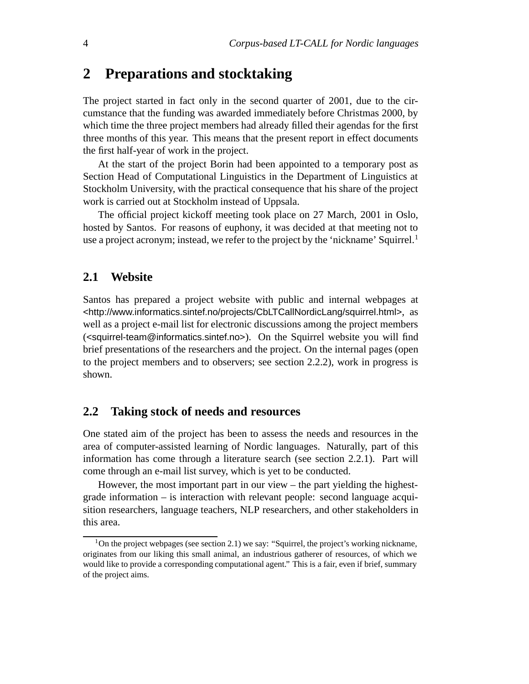### **2 Preparations and stocktaking**

The project started in fact only in the second quarter of 2001, due to the circumstance that the funding was awarded immediately before Christmas 2000, by which time the three project members had already filled their agendas for the first three months of this year. This means that the present report in effect documents the first half-year of work in the project.

At the start of the project Borin had been appointed to a temporary post as Section Head of Computational Linguistics in the Department of Linguistics at Stockholm University, with the practical consequence that his share of the project work is carried out at Stockholm instead of Uppsala.

The official project kickoff meeting took place on 27 March, 2001 in Oslo, hosted by Santos. For reasons of euphony, it was decided at that meeting not to use a project acronym; instead, we refer to the project by the 'nickname' Squirrel.<sup>1</sup>

#### **2.1 Website**

Santos has prepared a project website with public and internal webpages at <http://www.informatics.sintef.no/projects/CbLTCallNordicLang/squirrel.html>, as well as a project e-mail list for electronic discussions among the project members (<squirrel-team@informatics.sintef.no>). On the Squirrel website you will find brief presentations of the researchers and the project. On the internal pages (open to the project members and to observers; see section 2.2.2), work in progress is shown.

#### **2.2 Taking stock of needs and resources**

One stated aim of the project has been to assess the needs and resources in the area of computer-assisted learning of Nordic languages. Naturally, part of this information has come through a literature search (see section 2.2.1). Part will come through an e-mail list survey, which is yet to be conducted.

However, the most important part in our view – the part yielding the highestgrade information – is interaction with relevant people: second language acquisition researchers, language teachers, NLP researchers, and other stakeholders in this area.

<sup>&</sup>lt;sup>1</sup>On the project webpages (see section 2.1) we say: "Squirrel, the project's working nickname, originates from our liking this small animal, an industrious gatherer of resources, of which we would like to provide a corresponding computational agent." This is a fair, even if brief, summary of the project aims.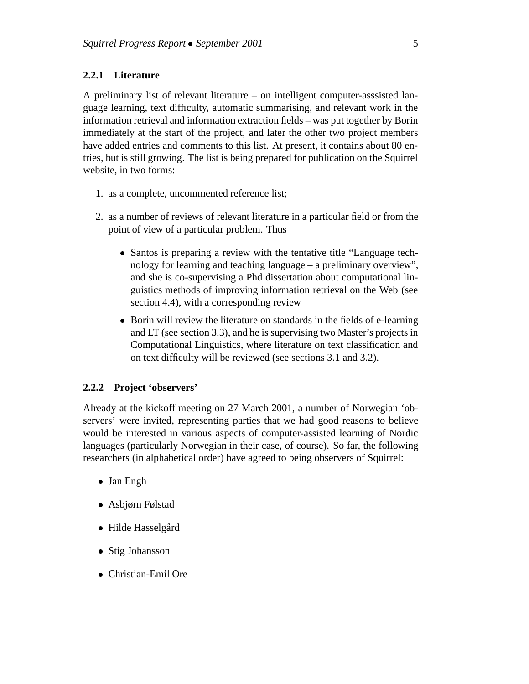#### **2.2.1 Literature**

A preliminary list of relevant literature – on intelligent computer-asssisted language learning, text difficulty, automatic summarising, and relevant work in the information retrieval and information extraction fields – was put together by Borin immediately at the start of the project, and later the other two project members have added entries and comments to this list. At present, it contains about 80 entries, but is still growing. The list is being prepared for publication on the Squirrel website, in two forms:

- 1. as a complete, uncommented reference list;
- 2. as a number of reviews of relevant literature in a particular field or from the point of view of a particular problem. Thus
	- Santos is preparing a review with the tentative title "Language technology for learning and teaching language – a preliminary overview", and she is co-supervising a Phd dissertation about computational linguistics methods of improving information retrieval on the Web (see section 4.4), with a corresponding review
	- Borin will review the literature on standards in the fields of e-learning and LT (see section 3.3), and he is supervising two Master's projects in Computational Linguistics, where literature on text classification and on text difficulty will be reviewed (see sections 3.1 and 3.2).

#### **2.2.2 Project 'observers'**

Already at the kickoff meeting on 27 March 2001, a number of Norwegian 'observers' were invited, representing parties that we had good reasons to believe would be interested in various aspects of computer-assisted learning of Nordic languages (particularly Norwegian in their case, of course). So far, the following researchers (in alphabetical order) have agreed to being observers of Squirrel:

- Jan Engh
- Asbjørn Følstad
- Hilde Hasselgård
- Stig Johansson
- Christian-Emil Ore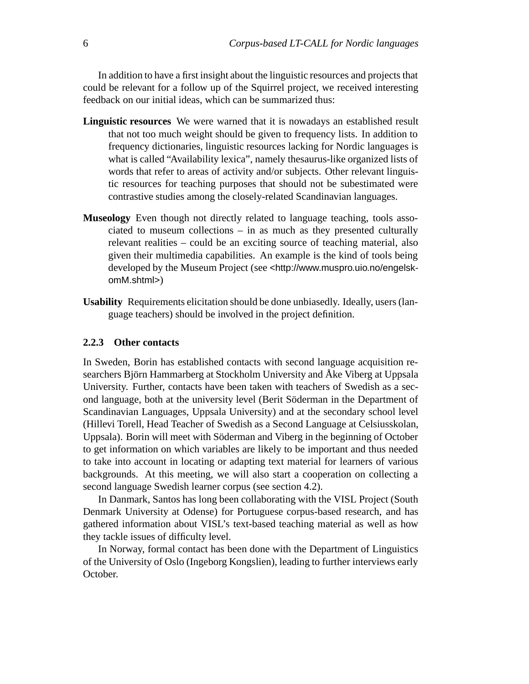In addition to have a first insight about the linguistic resources and projects that could be relevant for a follow up of the Squirrel project, we received interesting feedback on our initial ideas, which can be summarized thus:

- **Linguistic resources** We were warned that it is nowadays an established result that not too much weight should be given to frequency lists. In addition to frequency dictionaries, linguistic resources lacking for Nordic languages is what is called "Availability lexica", namely thesaurus-like organized lists of words that refer to areas of activity and/or subjects. Other relevant linguistic resources for teaching purposes that should not be subestimated were contrastive studies among the closely-related Scandinavian languages.
- **Museology** Even though not directly related to language teaching, tools associated to museum collections – in as much as they presented culturally relevant realities – could be an exciting source of teaching material, also given their multimedia capabilities. An example is the kind of tools being developed by the Museum Project (see <http://www.muspro.uio.no/engelskomM.shtml>)
- **Usability** Requirements elicitation should be done unbiasedly. Ideally, users (language teachers) should be involved in the project definition.

#### **2.2.3 Other contacts**

In Sweden, Borin has established contacts with second language acquisition researchers Björn Hammarberg at Stockholm University and Åke Viberg at Uppsala University. Further, contacts have been taken with teachers of Swedish as a second language, both at the university level (Berit Söderman in the Department of Scandinavian Languages, Uppsala University) and at the secondary school level (Hillevi Torell, Head Teacher of Swedish as a Second Language at Celsiusskolan, Uppsala). Borin will meet with Söderman and Viberg in the beginning of October to get information on which variables are likely to be important and thus needed to take into account in locating or adapting text material for learners of various backgrounds. At this meeting, we will also start a cooperation on collecting a second language Swedish learner corpus (see section 4.2).

In Danmark, Santos has long been collaborating with the VISL Project (South Denmark University at Odense) for Portuguese corpus-based research, and has gathered information about VISL's text-based teaching material as well as how they tackle issues of difficulty level.

In Norway, formal contact has been done with the Department of Linguistics of the University of Oslo (Ingeborg Kongslien), leading to further interviews early October.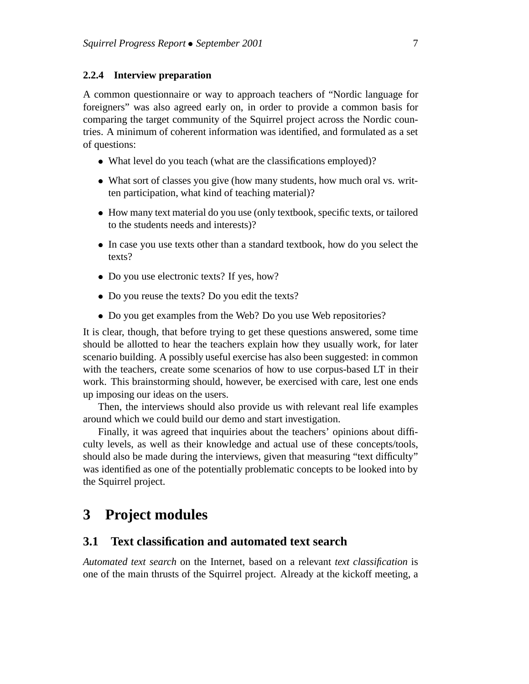#### **2.2.4 Interview preparation**

A common questionnaire or way to approach teachers of "Nordic language for foreigners" was also agreed early on, in order to provide a common basis for comparing the target community of the Squirrel project across the Nordic countries. A minimum of coherent information was identified, and formulated as a set of questions:

- What level do you teach (what are the classifications employed)?
- What sort of classes you give (how many students, how much oral vs. written participation, what kind of teaching material)?
- How many text material do you use (only textbook, specific texts, or tailored to the students needs and interests)?
- In case you use texts other than a standard textbook, how do you select the texts?
- Do you use electronic texts? If yes, how?
- Do you reuse the texts? Do you edit the texts?
- Do you get examples from the Web? Do you use Web repositories?

It is clear, though, that before trying to get these questions answered, some time should be allotted to hear the teachers explain how they usually work, for later scenario building. A possibly useful exercise has also been suggested: in common with the teachers, create some scenarios of how to use corpus-based LT in their work. This brainstorming should, however, be exercised with care, lest one ends up imposing our ideas on the users.

Then, the interviews should also provide us with relevant real life examples around which we could build our demo and start investigation.

Finally, it was agreed that inquiries about the teachers' opinions about difficulty levels, as well as their knowledge and actual use of these concepts/tools, should also be made during the interviews, given that measuring "text difficulty" was identified as one of the potentially problematic concepts to be looked into by the Squirrel project.

### **3 Project modules**

#### **3.1 Text classification and automated text search**

*Automated text search* on the Internet, based on a relevant *text classification* is one of the main thrusts of the Squirrel project. Already at the kickoff meeting, a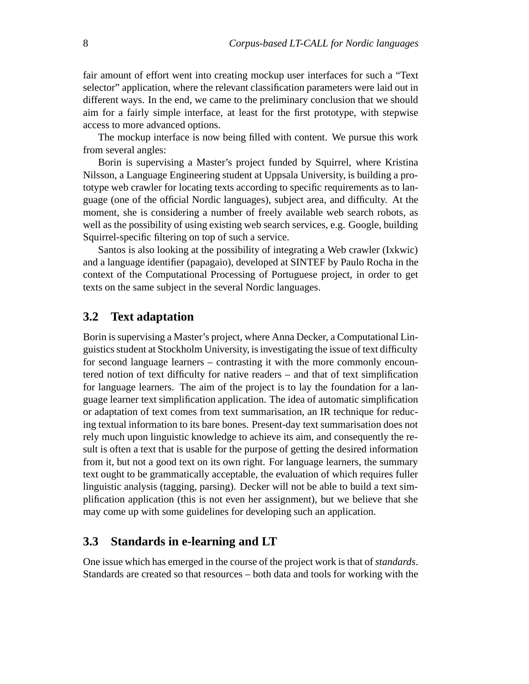fair amount of effort went into creating mockup user interfaces for such a "Text selector" application, where the relevant classification parameters were laid out in different ways. In the end, we came to the preliminary conclusion that we should aim for a fairly simple interface, at least for the first prototype, with stepwise access to more advanced options.

The mockup interface is now being filled with content. We pursue this work from several angles:

Borin is supervising a Master's project funded by Squirrel, where Kristina Nilsson, a Language Engineering student at Uppsala University, is building a prototype web crawler for locating texts according to specific requirements as to language (one of the official Nordic languages), subject area, and difficulty. At the moment, she is considering a number of freely available web search robots, as well as the possibility of using existing web search services, e.g. Google, building Squirrel-specific filtering on top of such a service.

Santos is also looking at the possibility of integrating a Web crawler (Ixkwic) and a language identifier (papagaio), developed at SINTEF by Paulo Rocha in the context of the Computational Processing of Portuguese project, in order to get texts on the same subject in the several Nordic languages.

#### **3.2 Text adaptation**

Borin is supervising a Master's project, where Anna Decker, a Computational Linguistics student at Stockholm University, is investigating the issue of text difficulty for second language learners – contrasting it with the more commonly encountered notion of text difficulty for native readers – and that of text simplification for language learners. The aim of the project is to lay the foundation for a language learner text simplification application. The idea of automatic simplification or adaptation of text comes from text summarisation, an IR technique for reducing textual information to its bare bones. Present-day text summarisation does not rely much upon linguistic knowledge to achieve its aim, and consequently the result is often a text that is usable for the purpose of getting the desired information from it, but not a good text on its own right. For language learners, the summary text ought to be grammatically acceptable, the evaluation of which requires fuller linguistic analysis (tagging, parsing). Decker will not be able to build a text simplification application (this is not even her assignment), but we believe that she may come up with some guidelines for developing such an application.

#### **3.3 Standards in e-learning and LT**

One issue which has emerged in the course of the project work is that of *standards*. Standards are created so that resources – both data and tools for working with the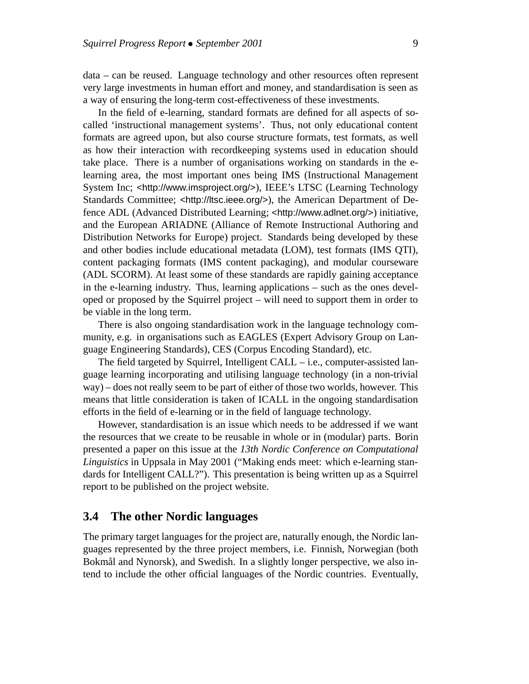data – can be reused. Language technology and other resources often represent very large investments in human effort and money, and standardisation is seen as a way of ensuring the long-term cost-effectiveness of these investments.

In the field of e-learning, standard formats are defined for all aspects of socalled 'instructional management systems'. Thus, not only educational content formats are agreed upon, but also course structure formats, test formats, as well as how their interaction with recordkeeping systems used in education should take place. There is a number of organisations working on standards in the elearning area, the most important ones being IMS (Instructional Management System Inc; <http://www.imsproject.org/>), IEEE's LTSC (Learning Technology Standards Committee; <http://ltsc.ieee.org/>), the American Department of Defence ADL (Advanced Distributed Learning; <http://www.adlnet.org/>) initiative, and the European ARIADNE (Alliance of Remote Instructional Authoring and Distribution Networks for Europe) project. Standards being developed by these and other bodies include educational metadata (LOM), test formats (IMS QTI), content packaging formats (IMS content packaging), and modular courseware (ADL SCORM). At least some of these standards are rapidly gaining acceptance in the e-learning industry. Thus, learning applications – such as the ones developed or proposed by the Squirrel project – will need to support them in order to be viable in the long term.

There is also ongoing standardisation work in the language technology community, e.g. in organisations such as EAGLES (Expert Advisory Group on Language Engineering Standards), CES (Corpus Encoding Standard), etc.

The field targeted by Squirrel, Intelligent CALL – i.e., computer-assisted language learning incorporating and utilising language technology (in a non-trivial way) – does not really seem to be part of either of those two worlds, however. This means that little consideration is taken of ICALL in the ongoing standardisation efforts in the field of e-learning or in the field of language technology.

However, standardisation is an issue which needs to be addressed if we want the resources that we create to be reusable in whole or in (modular) parts. Borin presented a paper on this issue at the *13th Nordic Conference on Computational Linguistics* in Uppsala in May 2001 ("Making ends meet: which e-learning standards for Intelligent CALL?"). This presentation is being written up as a Squirrel report to be published on the project website.

#### **3.4 The other Nordic languages**

The primary target languages for the project are, naturally enough, the Nordic languages represented by the three project members, i.e. Finnish, Norwegian (both Bokmål and Nynorsk), and Swedish. In a slightly longer perspective, we also intend to include the other official languages of the Nordic countries. Eventually,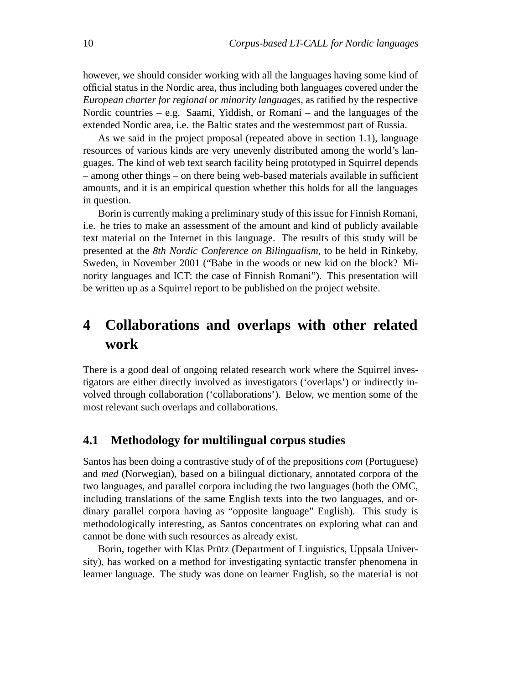however, we should consider working with all the languages having some kind of official status in the Nordic area, thus including both languages covered under the *European charter for regional or minority languages*, as ratified by the respective Nordic countries – e.g. Saami, Yiddish, or Romani – and the languages of the extended Nordic area, i.e. the Baltic states and the westernmost part of Russia.

As we said in the project proposal (repeated above in section 1.1), language resources of various kinds are very unevenly distributed among the world's languages. The kind of web text search facility being prototyped in Squirrel depends – among other things – on there being web-based materials available in sufficient amounts, and it is an empirical question whether this holds for all the languages in question.

Borin is currently making a preliminary study of this issue for Finnish Romani, i.e. he tries to make an assessment of the amount and kind of publicly available text material on the Internet in this language. The results of this study will be presented at the *8th Nordic Conference on Bilingualism*, to be held in Rinkeby, Sweden, in November 2001 ("Babe in the woods or new kid on the block? Minority languages and ICT: the case of Finnish Romani"). This presentation will be written up as a Squirrel report to be published on the project website.

# **4 Collaborations and overlaps with other related work**

There is a good deal of ongoing related research work where the Squirrel investigators are either directly involved as investigators ('overlaps') or indirectly involved through collaboration ('collaborations'). Below, we mention some of the most relevant such overlaps and collaborations.

#### **4.1 Methodology for multilingual corpus studies**

Santos has been doing a contrastive study of of the prepositions *com* (Portuguese) and *med* (Norwegian), based on a bilingual dictionary, annotated corpora of the two languages, and parallel corpora including the two languages (both the OMC, including translations of the same English texts into the two languages, and ordinary parallel corpora having as "opposite language" English). This study is methodologically interesting, as Santos concentrates on exploring what can and cannot be done with such resources as already exist.

Borin, together with Klas Prütz (Department of Linguistics, Uppsala University), has worked on a method for investigating syntactic transfer phenomena in learner language. The study was done on learner English, so the material is not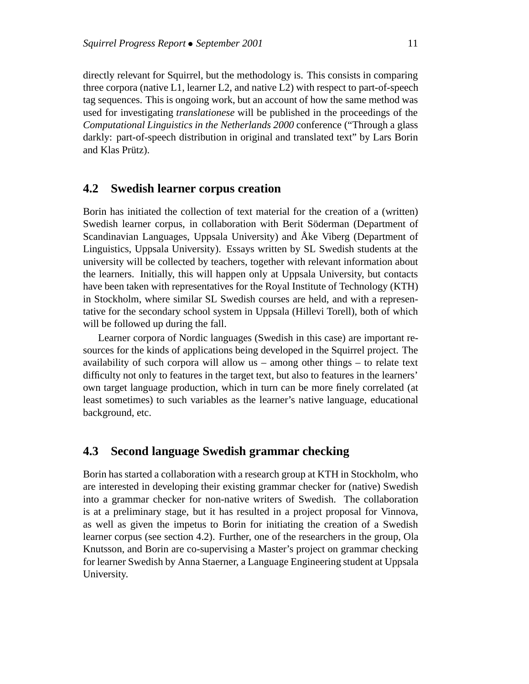directly relevant for Squirrel, but the methodology is. This consists in comparing three corpora (native L1, learner L2, and native L2) with respect to part-of-speech tag sequences. This is ongoing work, but an account of how the same method was used for investigating *translationese* will be published in the proceedings of the *Computational Linguistics in the Netherlands 2000* conference ("Through a glass darkly: part-of-speech distribution in original and translated text" by Lars Borin and Klas Prütz).

#### **4.2 Swedish learner corpus creation**

Borin has initiated the collection of text material for the creation of a (written) Swedish learner corpus, in collaboration with Berit Söderman (Department of Scandinavian Languages, Uppsala University) and Åke Viberg (Department of Linguistics, Uppsala University). Essays written by SL Swedish students at the university will be collected by teachers, together with relevant information about the learners. Initially, this will happen only at Uppsala University, but contacts have been taken with representatives for the Royal Institute of Technology (KTH) in Stockholm, where similar SL Swedish courses are held, and with a representative for the secondary school system in Uppsala (Hillevi Torell), both of which will be followed up during the fall.

Learner corpora of Nordic languages (Swedish in this case) are important resources for the kinds of applications being developed in the Squirrel project. The availability of such corpora will allow us – among other things – to relate text difficulty not only to features in the target text, but also to features in the learners' own target language production, which in turn can be more finely correlated (at least sometimes) to such variables as the learner's native language, educational background, etc.

#### **4.3 Second language Swedish grammar checking**

Borin has started a collaboration with a research group at KTH in Stockholm, who are interested in developing their existing grammar checker for (native) Swedish into a grammar checker for non-native writers of Swedish. The collaboration is at a preliminary stage, but it has resulted in a project proposal for Vinnova, as well as given the impetus to Borin for initiating the creation of a Swedish learner corpus (see section 4.2). Further, one of the researchers in the group, Ola Knutsson, and Borin are co-supervising a Master's project on grammar checking for learner Swedish by Anna Staerner, a Language Engineering student at Uppsala University.